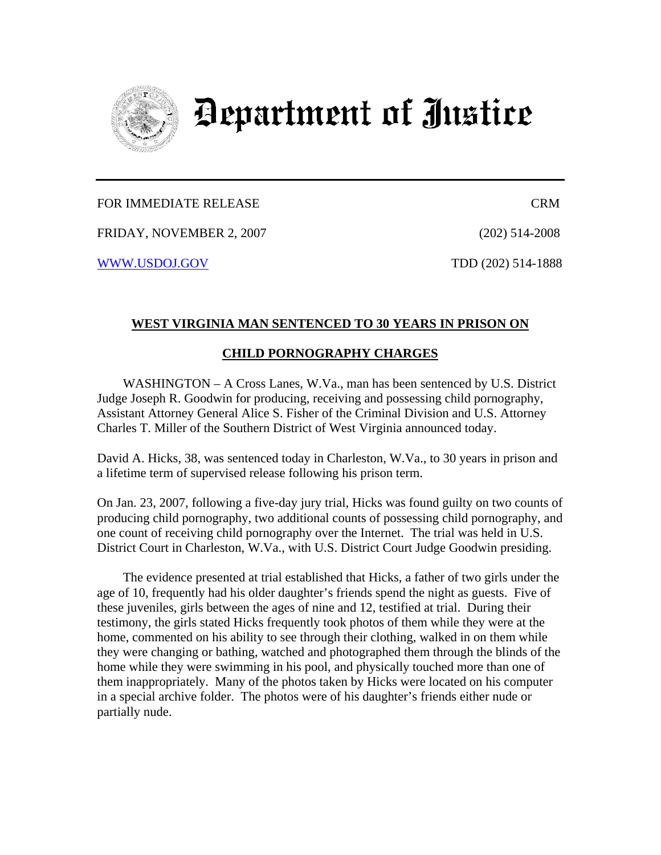

## Department of Justice

## FOR IMMEDIATE RELEASE CRM

FRIDAY, NOVEMBER 2, 2007 (202) 514-2008

WWW.USDOJ.GOV TDD (202) 514-1888

## **WEST VIRGINIA MAN SENTENCED TO 30 YEARS IN PRISON ON**

## **CHILD PORNOGRAPHY CHARGES**

WASHINGTON – A Cross Lanes, W.Va., man has been sentenced by U.S. District Judge Joseph R. Goodwin for producing, receiving and possessing child pornography, Assistant Attorney General Alice S. Fisher of the Criminal Division and U.S. Attorney Charles T. Miller of the Southern District of West Virginia announced today.

David A. Hicks, 38, was sentenced today in Charleston, W.Va., to 30 years in prison and a lifetime term of supervised release following his prison term.

On Jan. 23, 2007, following a five-day jury trial, Hicks was found guilty on two counts of producing child pornography, two additional counts of possessing child pornography, and one count of receiving child pornography over the Internet. The trial was held in U.S. District Court in Charleston, W.Va., with U.S. District Court Judge Goodwin presiding.

 The evidence presented at trial established that Hicks, a father of two girls under the age of 10, frequently had his older daughter's friends spend the night as guests. Five of these juveniles, girls between the ages of nine and 12, testified at trial. During their testimony, the girls stated Hicks frequently took photos of them while they were at the home, commented on his ability to see through their clothing, walked in on them while they were changing or bathing, watched and photographed them through the blinds of the home while they were swimming in his pool, and physically touched more than one of them inappropriately. Many of the photos taken by Hicks were located on his computer in a special archive folder. The photos were of his daughter's friends either nude or partially nude.